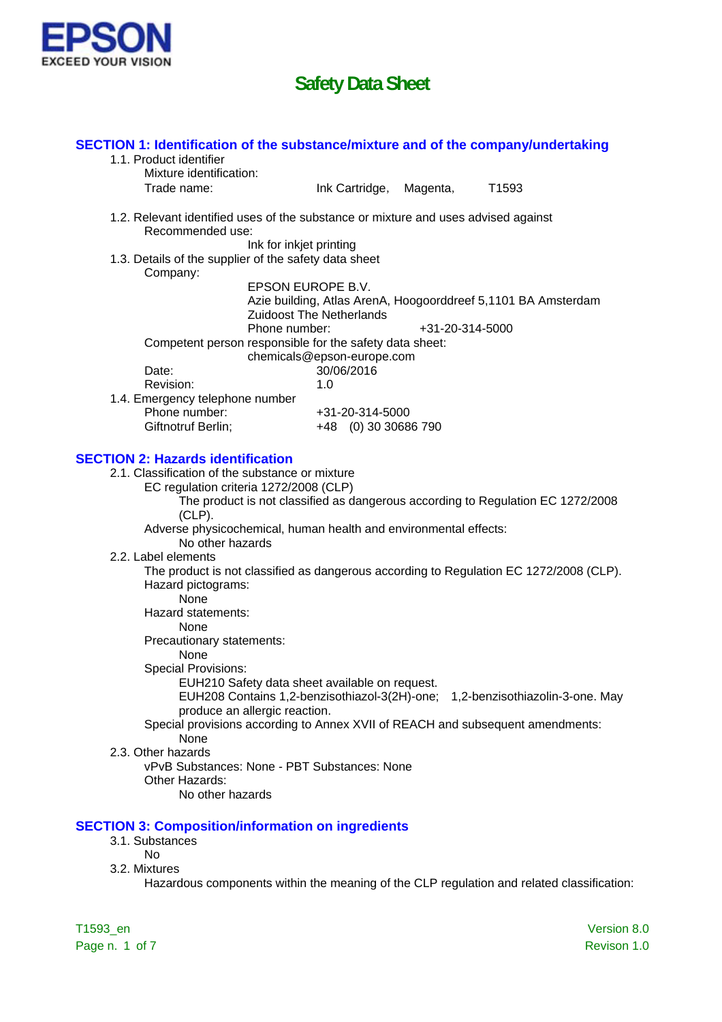

| SECTION 1: Identification of the substance/mixture and of the company/undertaking                      |                                 |                 |                                                                                 |             |
|--------------------------------------------------------------------------------------------------------|---------------------------------|-----------------|---------------------------------------------------------------------------------|-------------|
| 1.1. Product identifier                                                                                |                                 |                 |                                                                                 |             |
| Mixture identification:                                                                                |                                 |                 |                                                                                 |             |
| Trade name:                                                                                            | Ink Cartridge,                  | Magenta,        | T <sub>1593</sub>                                                               |             |
| 1.2. Relevant identified uses of the substance or mixture and uses advised against<br>Recommended use: |                                 |                 |                                                                                 |             |
|                                                                                                        | Ink for inkjet printing         |                 |                                                                                 |             |
| 1.3. Details of the supplier of the safety data sheet<br>Company:                                      |                                 |                 |                                                                                 |             |
|                                                                                                        | EPSON EUROPE B.V.               |                 |                                                                                 |             |
|                                                                                                        |                                 |                 | Azie building, Atlas ArenA, Hoogoorddreef 5,1101 BA Amsterdam                   |             |
| Phone number:                                                                                          | <b>Zuidoost The Netherlands</b> |                 |                                                                                 |             |
|                                                                                                        |                                 | +31-20-314-5000 |                                                                                 |             |
| Competent person responsible for the safety data sheet:                                                | chemicals@epson-europe.com      |                 |                                                                                 |             |
| Date:                                                                                                  | 30/06/2016                      |                 |                                                                                 |             |
| Revision:                                                                                              | 1.0                             |                 |                                                                                 |             |
| 1.4. Emergency telephone number                                                                        |                                 |                 |                                                                                 |             |
| Phone number:                                                                                          | +31-20-314-5000                 |                 |                                                                                 |             |
| Giftnotruf Berlin;                                                                                     | +48 (0) 30 30 686 790           |                 |                                                                                 |             |
|                                                                                                        |                                 |                 |                                                                                 |             |
| <b>SECTION 2: Hazards identification</b>                                                               |                                 |                 |                                                                                 |             |
| 2.1. Classification of the substance or mixture                                                        |                                 |                 |                                                                                 |             |
| EC regulation criteria 1272/2008 (CLP)                                                                 |                                 |                 |                                                                                 |             |
|                                                                                                        |                                 |                 | The product is not classified as dangerous according to Regulation EC 1272/2008 |             |
| $(CLP)$ .                                                                                              |                                 |                 |                                                                                 |             |
| Adverse physicochemical, human health and environmental effects:<br>No other hazards                   |                                 |                 |                                                                                 |             |
| 2.2. Label elements                                                                                    |                                 |                 |                                                                                 |             |
| The product is not classified as dangerous according to Regulation EC 1272/2008 (CLP).                 |                                 |                 |                                                                                 |             |
| Hazard pictograms:                                                                                     |                                 |                 |                                                                                 |             |
| None                                                                                                   |                                 |                 |                                                                                 |             |
| Hazard statements:                                                                                     |                                 |                 |                                                                                 |             |
| None                                                                                                   |                                 |                 |                                                                                 |             |
| Precautionary statements:                                                                              |                                 |                 |                                                                                 |             |
| None                                                                                                   |                                 |                 |                                                                                 |             |
| <b>Special Provisions:</b>                                                                             |                                 |                 |                                                                                 |             |
| EUH210 Safety data sheet available on request.                                                         |                                 |                 |                                                                                 |             |
|                                                                                                        |                                 |                 | EUH208 Contains 1,2-benzisothiazol-3(2H)-one; 1,2-benzisothiazolin-3-one. May   |             |
| produce an allergic reaction.                                                                          |                                 |                 |                                                                                 |             |
| Special provisions according to Annex XVII of REACH and subsequent amendments:                         |                                 |                 |                                                                                 |             |
| None<br>2.3. Other hazards                                                                             |                                 |                 |                                                                                 |             |
| vPvB Substances: None - PBT Substances: None                                                           |                                 |                 |                                                                                 |             |
| Other Hazards:                                                                                         |                                 |                 |                                                                                 |             |
| No other hazards                                                                                       |                                 |                 |                                                                                 |             |
|                                                                                                        |                                 |                 |                                                                                 |             |
| <b>SECTION 3: Composition/information on ingredients</b>                                               |                                 |                 |                                                                                 |             |
| 3.1. Substances                                                                                        |                                 |                 |                                                                                 |             |
| <b>No</b>                                                                                              |                                 |                 |                                                                                 |             |
| 3.2. Mixtures                                                                                          |                                 |                 |                                                                                 |             |
| Hazardous components within the meaning of the CLP regulation and related classification:              |                                 |                 |                                                                                 |             |
|                                                                                                        |                                 |                 |                                                                                 |             |
|                                                                                                        |                                 |                 |                                                                                 |             |
| T1593_en                                                                                               |                                 |                 |                                                                                 | Version 8.0 |

Page n. 1 of 7 Revison 1.0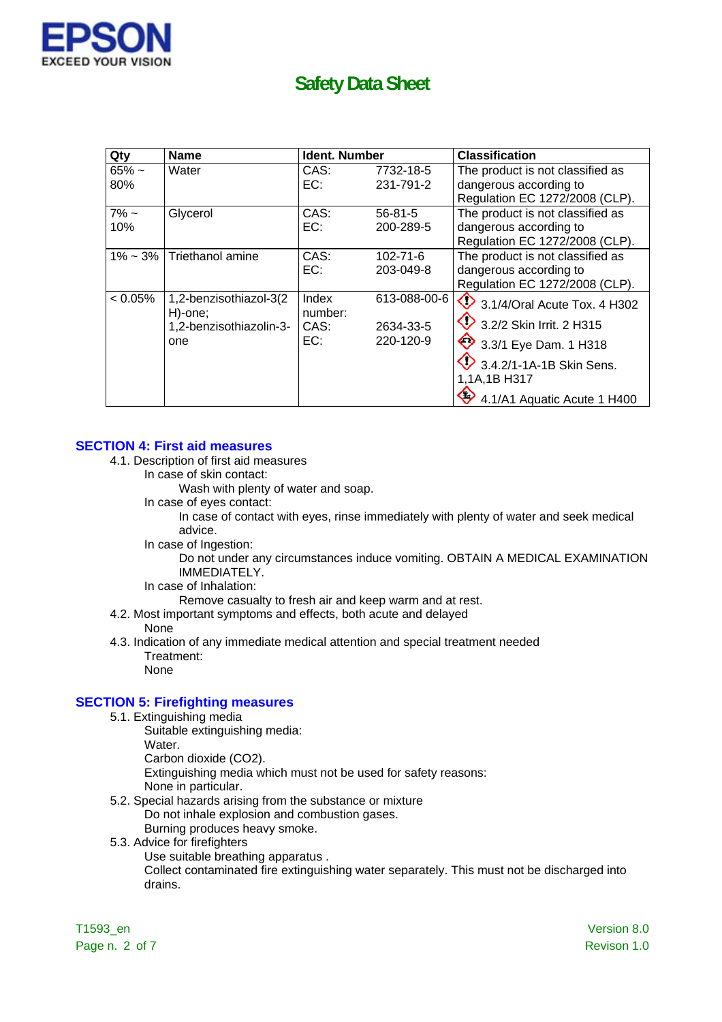

| Qty         | <b>Name</b>                        | <b>Ident. Number</b> |                | <b>Classification</b>                   |
|-------------|------------------------------------|----------------------|----------------|-----------------------------------------|
| $65% -$     | Water                              | CAS:                 | 7732-18-5      | The product is not classified as        |
| 80%         |                                    | EC:                  | 231-791-2      | dangerous according to                  |
|             |                                    |                      |                | Regulation EC 1272/2008 (CLP).          |
| $7\%$ ~     | Glycerol                           | CAS:                 | $56 - 81 - 5$  | The product is not classified as        |
| 10%         |                                    | EC:                  | 200-289-5      | dangerous according to                  |
|             |                                    |                      |                | Regulation EC 1272/2008 (CLP).          |
| $1\% - 3\%$ | Triethanol amine                   | CAS:                 | $102 - 71 - 6$ | The product is not classified as        |
|             |                                    | EC:                  | 203-049-8      | dangerous according to                  |
|             |                                    |                      |                | Regulation EC 1272/2008 (CLP).          |
| $< 0.05\%$  | 1,2-benzisothiazol-3(2             | Index                | 613-088-00-6   | $\bigcirc$ 3.1/4/Oral Acute Tox. 4 H302 |
|             | H)-one;<br>1,2-benzisothiazolin-3- | number:<br>CAS:      | 2634-33-5      | 3.2/2 Skin Irrit. 2 H315                |
|             | one                                | EC:                  | 220-120-9      | $\bullet$ 3.3/1 Eye Dam. 1 H318         |
|             |                                    |                      |                | 3.4.2/1-1A-1B Skin Sens.                |
|             |                                    |                      |                | 1,1A,1B H317                            |
|             |                                    |                      |                | 4.1/A1 Aquatic Acute 1 H400             |

#### **SECTION 4: First aid measures**

- 4.1. Description of first aid measures
	- In case of skin contact:

Wash with plenty of water and soap.

In case of eyes contact:

In case of contact with eyes, rinse immediately with plenty of water and seek medical advice.

In case of Ingestion:

Do not under any circumstances induce vomiting. OBTAIN A MEDICAL EXAMINATION IMMEDIATELY.

In case of Inhalation:

Remove casualty to fresh air and keep warm and at rest.

- 4.2. Most important symptoms and effects, both acute and delayed None
- 4.3. Indication of any immediate medical attention and special treatment needed Treatment: None

#### **SECTION 5: Firefighting measures**

- 5.1. Extinguishing media
	- Suitable extinguishing media:
	- Water.
	- Carbon dioxide (CO2).
	- Extinguishing media which must not be used for safety reasons:
	- None in particular.
- 5.2. Special hazards arising from the substance or mixture Do not inhale explosion and combustion gases. Burning produces heavy smoke.
- 5.3. Advice for firefighters
	- Use suitable breathing apparatus .

Collect contaminated fire extinguishing water separately. This must not be discharged into drains.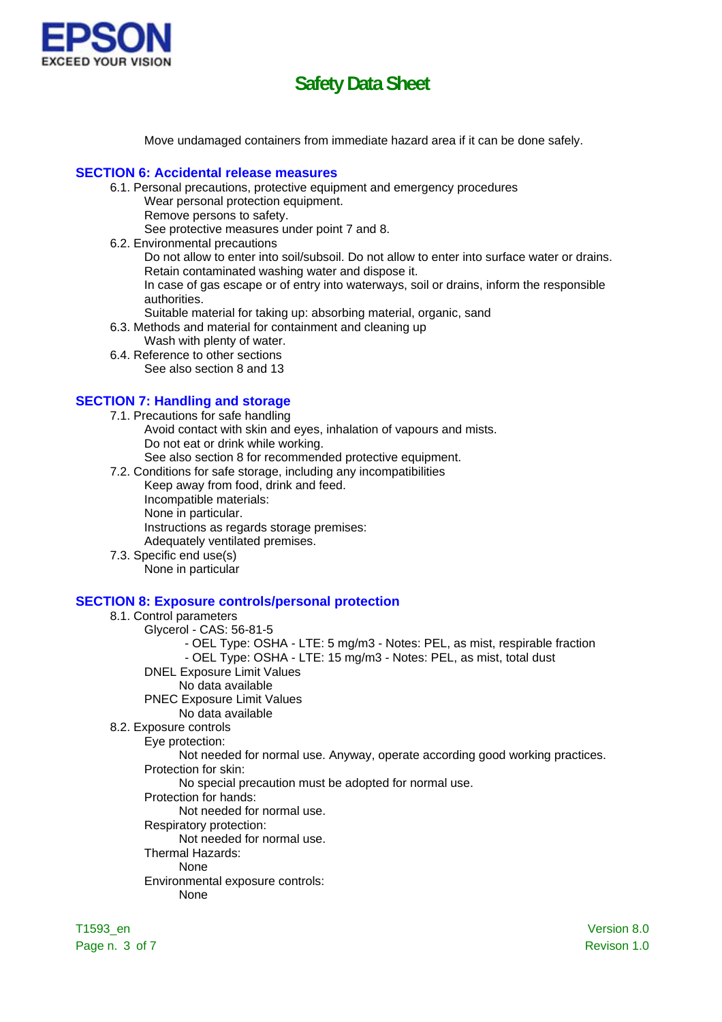

Move undamaged containers from immediate hazard area if it can be done safely.

#### **SECTION 6: Accidental release measures**

- 6.1. Personal precautions, protective equipment and emergency procedures Wear personal protection equipment.
	- Remove persons to safety.

See protective measures under point 7 and 8.

6.2. Environmental precautions

Do not allow to enter into soil/subsoil. Do not allow to enter into surface water or drains. Retain contaminated washing water and dispose it.

In case of gas escape or of entry into waterways, soil or drains, inform the responsible authorities.

- Suitable material for taking up: absorbing material, organic, sand
- 6.3. Methods and material for containment and cleaning up
	- Wash with plenty of water.
- 6.4. Reference to other sections See also section 8 and 13

#### **SECTION 7: Handling and storage**

- 7.1. Precautions for safe handling Avoid contact with skin and eyes, inhalation of vapours and mists. Do not eat or drink while working. See also section 8 for recommended protective equipment.
- 7.2. Conditions for safe storage, including any incompatibilities
	- Keep away from food, drink and feed. Incompatible materials: None in particular. Instructions as regards storage premises: Adequately ventilated premises.
- 7.3. Specific end use(s) None in particular

#### **SECTION 8: Exposure controls/personal protection**

#### 8.1. Control parameters

- Glycerol CAS: 56-81-5
	- OEL Type: OSHA LTE: 5 mg/m3 Notes: PEL, as mist, respirable fraction
	- OEL Type: OSHA LTE: 15 mg/m3 Notes: PEL, as mist, total dust
- DNEL Exposure Limit Values
	- No data available
- PNEC Exposure Limit Values
	- No data available
- 8.2. Exposure controls
	- Eye protection:

Not needed for normal use. Anyway, operate according good working practices. Protection for skin:

No special precaution must be adopted for normal use.

Protection for hands:

#### Not needed for normal use.

- Respiratory protection:
	- Not needed for normal use.
- Thermal Hazards:

### None

- Environmental exposure controls:
	- None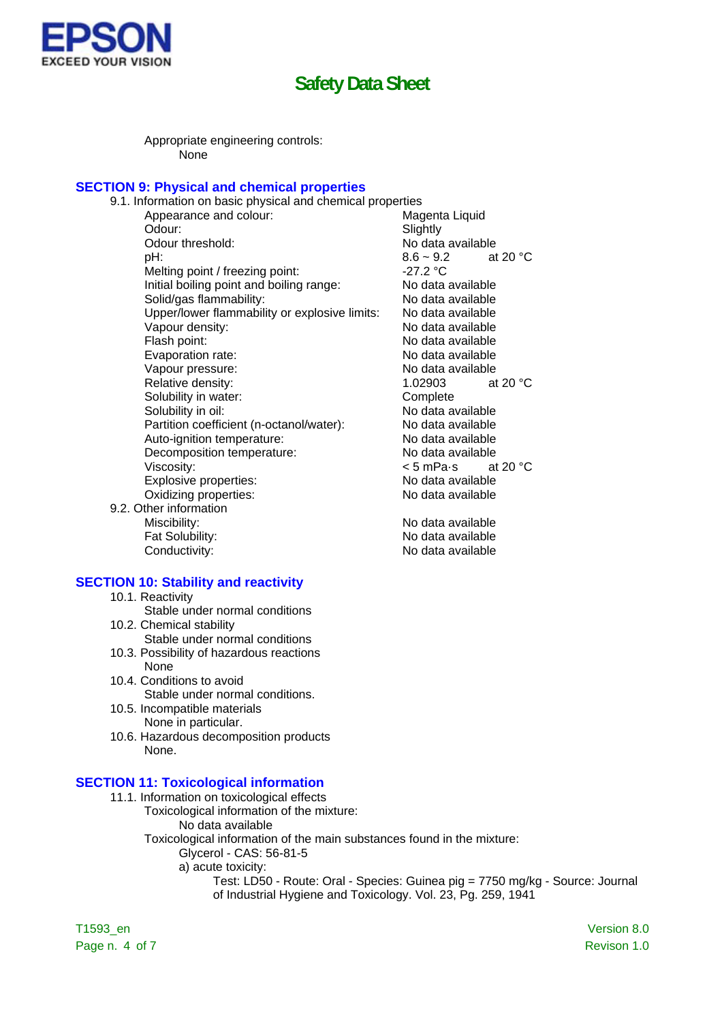

No data available

Appropriate engineering controls: None

#### **SECTION 9: Physical and chemical properties**

| 9.1. Information on basic physical and chemical properties |                                  |
|------------------------------------------------------------|----------------------------------|
| Appearance and colour:                                     | Magenta Liquid                   |
| Odour:                                                     | Slightly                         |
| Odour threshold:                                           | No data available                |
| pH:                                                        | at 20 $\degree$ C<br>$8.6 - 9.2$ |
| Melting point / freezing point:                            | $-27.2 °C$                       |
| Initial boiling point and boiling range:                   | No data available                |
| Solid/gas flammability:                                    | No data available                |
| Upper/lower flammability or explosive limits:              | No data available                |
| Vapour density:                                            | No data available                |
| Flash point:                                               | No data available                |
| Evaporation rate:                                          | No data available                |
| Vapour pressure:                                           | No data available                |
| Relative density:                                          | at 20 $\degree$ C<br>1.02903     |
| Solubility in water:                                       | Complete                         |
| Solubility in oil:                                         | No data available                |
| Partition coefficient (n-octanol/water):                   | No data available                |
| Auto-ignition temperature:                                 | No data available                |
| Decomposition temperature:                                 | No data available                |
| Viscosity:                                                 | $< 5$ mPa $\cdot$ s at 20 °C     |
| Explosive properties:                                      | No data available                |
| Oxidizing properties:                                      | No data available                |
| 9.2. Other information                                     |                                  |
| Miscibility:                                               | No data available                |

Fat Solubility:<br>
Conductivity:<br>
No data available<br>
No data available

#### **SECTION 10: Stability and reactivity**

- 10.1. Reactivity
- Stable under normal conditions
- 10.2. Chemical stability Stable under normal conditions
- 10.3. Possibility of hazardous reactions None
- 10.4. Conditions to avoid Stable under normal conditions.
- 10.5. Incompatible materials None in particular.
- 10.6. Hazardous decomposition products None.

#### **SECTION 11: Toxicological information**

- 11.1. Information on toxicological effects
	- Toxicological information of the mixture: No data available
	- Toxicological information of the main substances found in the mixture: Glycerol - CAS: 56-81-5
		- a) acute toxicity:
			- Test: LD50 Route: Oral Species: Guinea pig = 7750 mg/kg Source: Journal of Industrial Hygiene and Toxicology. Vol. 23, Pg. 259, 1941

T1593\_en Version 8.0 Page n. 4 of 7 Revison 1.0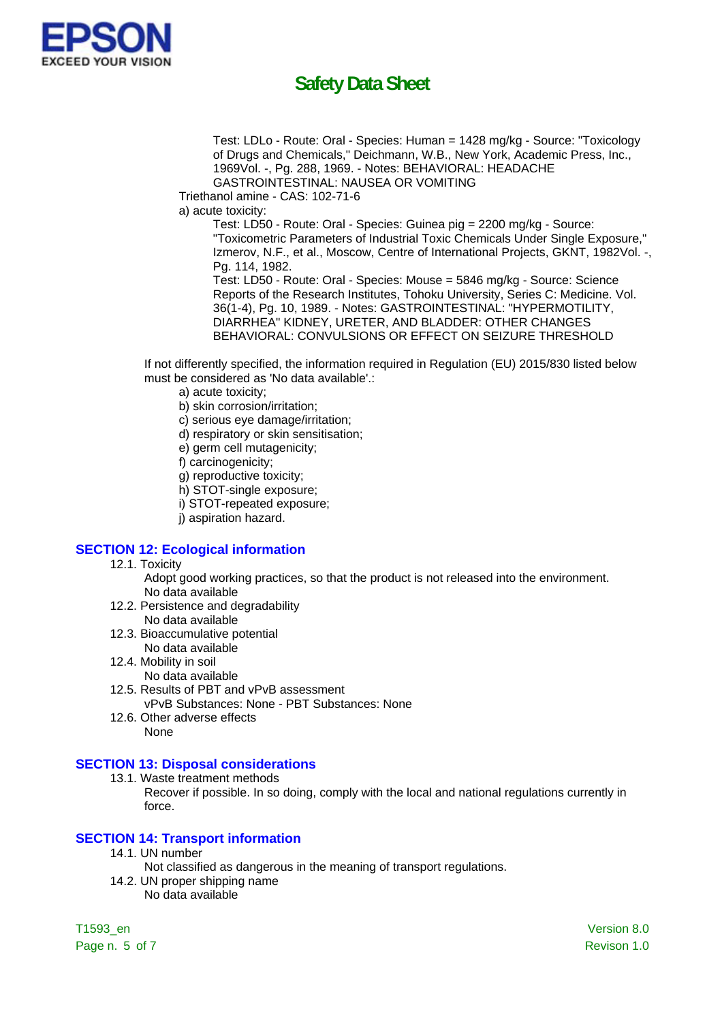

Test: LDLo - Route: Oral - Species: Human = 1428 mg/kg - Source: "Toxicology of Drugs and Chemicals," Deichmann, W.B., New York, Academic Press, Inc., 1969Vol. -, Pg. 288, 1969. - Notes: BEHAVIORAL: HEADACHE GASTROINTESTINAL: NAUSEA OR VOMITING

Triethanol amine - CAS: 102-71-6

a) acute toxicity:

Test: LD50 - Route: Oral - Species: Guinea pig = 2200 mg/kg - Source: "Toxicometric Parameters of Industrial Toxic Chemicals Under Single Exposure," Izmerov, N.F., et al., Moscow, Centre of International Projects, GKNT, 1982Vol. -, Pg. 114, 1982.

Test: LD50 - Route: Oral - Species: Mouse = 5846 mg/kg - Source: Science Reports of the Research Institutes, Tohoku University, Series C: Medicine. Vol. 36(1-4), Pg. 10, 1989. - Notes: GASTROINTESTINAL: "HYPERMOTILITY, DIARRHEA" KIDNEY, URETER, AND BLADDER: OTHER CHANGES BEHAVIORAL: CONVULSIONS OR EFFECT ON SEIZURE THRESHOLD

If not differently specified, the information required in Regulation (EU) 2015/830 listed below must be considered as 'No data available'.:

a) acute toxicity;

b) skin corrosion/irritation;

c) serious eye damage/irritation;

- d) respiratory or skin sensitisation;
- e) germ cell mutagenicity;
- f) carcinogenicity;
- g) reproductive toxicity;
- h) STOT-single exposure;
- i) STOT-repeated exposure;
- j) aspiration hazard.

#### **SECTION 12: Ecological information**

- 12.1. Toxicity
	- Adopt good working practices, so that the product is not released into the environment. No data available
- 12.2. Persistence and degradability No data available
- 12.3. Bioaccumulative potential
- No data available
- 12.4. Mobility in soil
	- No data available
- 12.5. Results of PBT and vPvB assessment vPvB Substances: None - PBT Substances: None
- 12.6. Other adverse effects None

#### **SECTION 13: Disposal considerations**

13.1. Waste treatment methods

Recover if possible. In so doing, comply with the local and national regulations currently in force.

#### **SECTION 14: Transport information**

- 14.1. UN number
	- Not classified as dangerous in the meaning of transport regulations.
- 14.2. UN proper shipping name No data available

T1593\_en Version 8.0 Page n. 5 of 7 Revison 1.0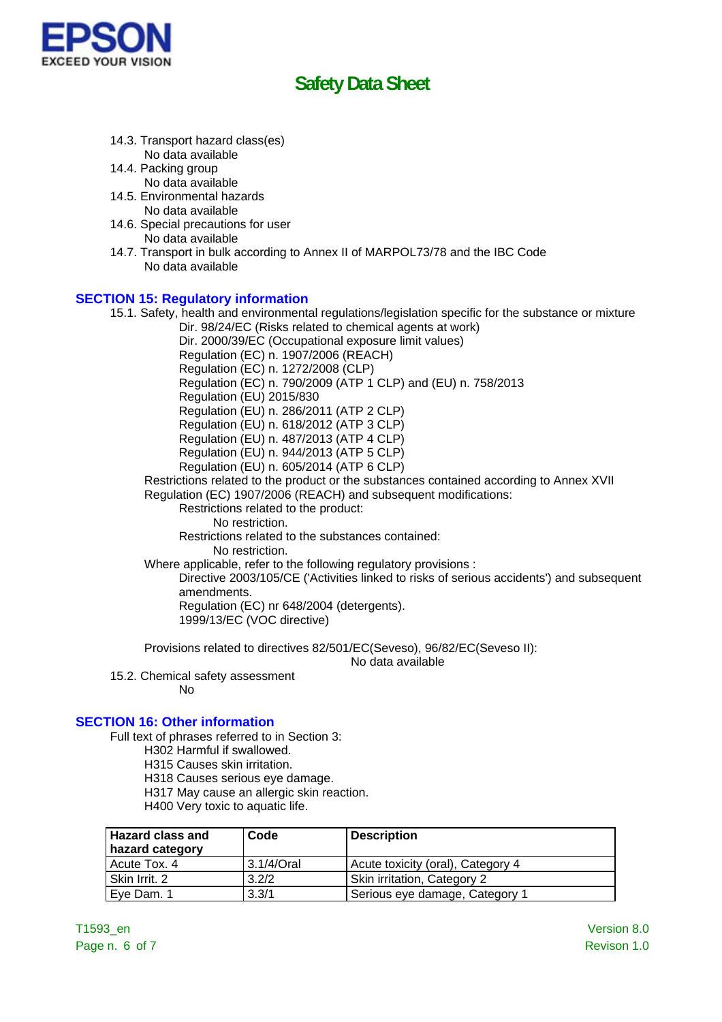

- 14.3. Transport hazard class(es)
- No data available 14.4. Packing group
	- No data available
- 14.5. Environmental hazards No data available
- 14.6. Special precautions for user No data available
- 14.7. Transport in bulk according to Annex II of MARPOL73/78 and the IBC Code No data available

### **SECTION 15: Regulatory information**

15.1. Safety, health and environmental regulations/legislation specific for the substance or mixture Dir. 98/24/EC (Risks related to chemical agents at work) Dir. 2000/39/EC (Occupational exposure limit values) Regulation (EC) n. 1907/2006 (REACH) Regulation (EC) n. 1272/2008 (CLP) Regulation (EC) n. 790/2009 (ATP 1 CLP) and (EU) n. 758/2013 Regulation (EU) 2015/830 Regulation (EU) n. 286/2011 (ATP 2 CLP) Regulation (EU) n. 618/2012 (ATP 3 CLP) Regulation (EU) n. 487/2013 (ATP 4 CLP) Regulation (EU) n. 944/2013 (ATP 5 CLP) Regulation (EU) n. 605/2014 (ATP 6 CLP) Restrictions related to the product or the substances contained according to Annex XVII Regulation (EC) 1907/2006 (REACH) and subsequent modifications: Restrictions related to the product: No restriction. Restrictions related to the substances contained: No restriction. Where applicable, refer to the following regulatory provisions : Directive 2003/105/CE ('Activities linked to risks of serious accidents') and subsequent amendments. Regulation (EC) nr 648/2004 (detergents). 1999/13/EC (VOC directive) Provisions related to directives 82/501/EC(Seveso), 96/82/EC(Seveso II):

No data available

15.2. Chemical safety assessment

No

### **SECTION 16: Other information**

- Full text of phrases referred to in Section 3:
	- H302 Harmful if swallowed.
	- H315 Causes skin irritation.
	- H318 Causes serious eye damage.
	- H317 May cause an allergic skin reaction.
	- H400 Very toxic to aquatic life.

| <b>Hazard class and</b><br>hazard category | Code       | <b>Description</b>                |
|--------------------------------------------|------------|-----------------------------------|
| Acute Tox, 4                               | 3.1/4/Oral | Acute toxicity (oral), Category 4 |
| Skin Irrit. 2                              | 3.2/2      | Skin irritation, Category 2       |
| Eve Dam. 1                                 | 3.3/1      | Serious eye damage, Category 1    |